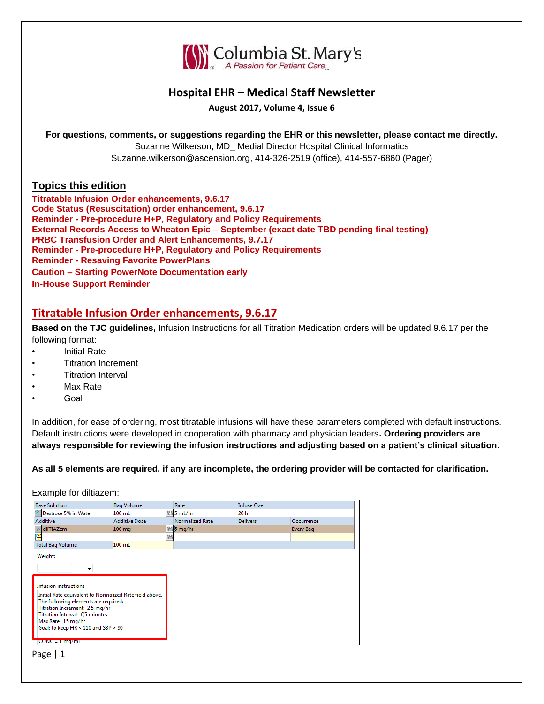

# **Hospital EHR – Medical Staff Newsletter**

**August 2017, Volume 4, Issue 6**

**For questions, comments, or suggestions regarding the EHR or this newsletter, please contact me directly.**

Suzanne Wilkerson, MD\_ Medial Director Hospital Clinical Informatics Suzanne.wilkerson@ascension.org, 414-326-2519 (office), 414-557-6860 (Pager)

## **Topics this edition**

**Titratable Infusion Order enhancements, 9.6.17 Code Status (Resuscitation) order enhancement, 9.6.17 Reminder - Pre-procedure H+P, Regulatory and Policy Requirements External Records Access to Wheaton Epic – September (exact date TBD pending final testing) PRBC Transfusion Order and Alert Enhancements, 9.7.17 Reminder - Pre-procedure H+P, Regulatory and Policy Requirements Reminder - Resaving Favorite PowerPlans Caution – Starting PowerNote Documentation early In-House Support Reminder**

# **Titratable Infusion Order enhancements, 9.6.17**

**Based on the TJC guidelines,** Infusion Instructions for all Titration Medication orders will be updated 9.6.17 per the following format:

- Initial Rate
- Titration Increment
- **Titration Interval**
- Max Rate
- Goal

In addition, for ease of ordering, most titratable infusions will have these parameters completed with default instructions. Default instructions were developed in cooperation with pharmacy and physician leaders**. Ordering providers are always responsible for reviewing the infusion instructions and adjusting based on a patient's clinical situation.**

**As all 5 elements are required, if any are incomplete, the ordering provider will be contacted for clarification.**

Example for diltiazem:

| <b>Base Solution</b>                                    | <b>Bag Volume</b>    |   | Rate            | <b>Infuse Over</b> |            |  |
|---------------------------------------------------------|----------------------|---|-----------------|--------------------|------------|--|
| Dextrose 5% in Water                                    | $100$ mL             |   | 5 mL/hr         | 20 <sub>hr</sub>   |            |  |
| Additive                                                | <b>Additive Dose</b> |   | Normalized Rate | <b>Delivers</b>    | Occurrence |  |
| dilTIAZem                                               | $100 \text{ mg}$     |   | ⊠ 5 mg/hr       |                    | Every Bag  |  |
| 置                                                       |                      | 옮 |                 |                    |            |  |
| <b>Total Bag Volume</b>                                 | 100 mL               |   |                 |                    |            |  |
| Weight:                                                 |                      |   |                 |                    |            |  |
|                                                         |                      |   |                 |                    |            |  |
|                                                         |                      |   |                 |                    |            |  |
| <b>Infusion instructions</b>                            |                      |   |                 |                    |            |  |
| Initial Rate equivalent to Normalized Rate field above. |                      |   |                 |                    |            |  |
| The following elements are required:                    |                      |   |                 |                    |            |  |
| Titration Increment: 2.5 mg/hr                          |                      |   |                 |                    |            |  |
| Titration Interval: Q5 minutes                          |                      |   |                 |                    |            |  |
| Max Rate: 15 mg/hr                                      |                      |   |                 |                    |            |  |
| Goal: to keep HR < 110 and SBP > 90                     |                      |   |                 |                    |            |  |
|                                                         |                      |   |                 |                    |            |  |
| CONC = $1 \text{ mg/mL}$                                |                      |   |                 |                    |            |  |

Page | 1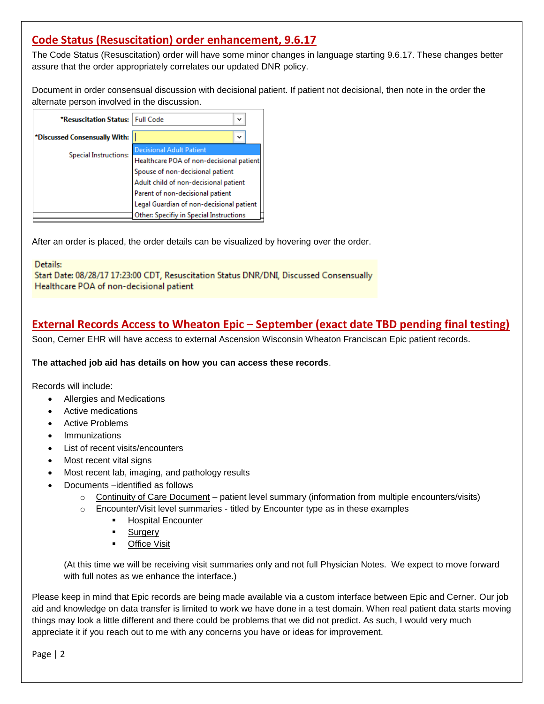# **Code Status (Resuscitation) order enhancement, 9.6.17**

The Code Status (Resuscitation) order will have some minor changes in language starting 9.6.17. These changes better assure that the order appropriately correlates our updated DNR policy.

Document in order consensual discussion with decisional patient. If patient not decisional, then note in the order the alternate person involved in the discussion.

| *Resuscitation Status: Full Code | $\check{ }$                              |  |  |  |  |
|----------------------------------|------------------------------------------|--|--|--|--|
| *Discussed Consensually With:    | $\check{ }$                              |  |  |  |  |
| <b>Special Instructions:</b>     | <b>Decisional Adult Patient</b>          |  |  |  |  |
|                                  | Healthcare POA of non-decisional patient |  |  |  |  |
|                                  | Spouse of non-decisional patient         |  |  |  |  |
|                                  | Adult child of non-decisional patient    |  |  |  |  |
|                                  | Parent of non-decisional patient         |  |  |  |  |
|                                  | Legal Guardian of non-decisional patient |  |  |  |  |
|                                  | Other: Specifiy in Special Instructions  |  |  |  |  |

After an order is placed, the order details can be visualized by hovering over the order.

Details:

Start Date: 08/28/17 17:23:00 CDT, Resuscitation Status DNR/DNI, Discussed Consensually Healthcare POA of non-decisional patient

# **External Records Access to Wheaton Epic – September (exact date TBD pending final testing)**

Soon, Cerner EHR will have access to external Ascension Wisconsin Wheaton Franciscan Epic patient records.

**The attached job aid has details on how you can access these records**.

Records will include:

- Allergies and Medications
- Active medications
- Active Problems
- Immunizations
- List of recent visits/encounters
- Most recent vital signs
- Most recent lab, imaging, and pathology results
- Documents –identified as follows
	- o Continuity of Care Document patient level summary (information from multiple encounters/visits)
	- $\circ$  Encounter/Visit level summaries titled by Encounter type as in these examples
		- Hospital Encounter
		- **Surgery**
		- **-** Office Visit

(At this time we will be receiving visit summaries only and not full Physician Notes. We expect to move forward with full notes as we enhance the interface.)

Please keep in mind that Epic records are being made available via a custom interface between Epic and Cerner. Our job aid and knowledge on data transfer is limited to work we have done in a test domain. When real patient data starts moving things may look a little different and there could be problems that we did not predict. As such, I would very much appreciate it if you reach out to me with any concerns you have or ideas for improvement.

Page | 2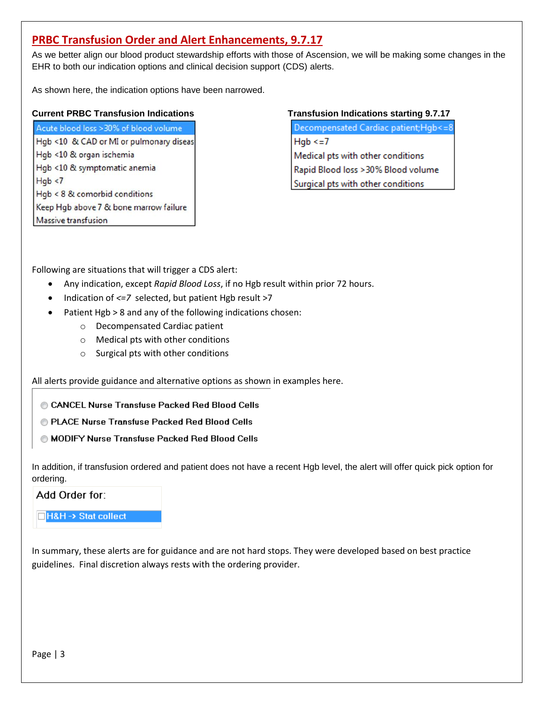# **PRBC Transfusion Order and Alert Enhancements, 9.7.17**

As we better align our blood product stewardship efforts with those of Ascension, we will be making some changes in the EHR to both our indication options and clinical decision support (CDS) alerts.

As shown here, the indication options have been narrowed.

## **Current PRBC Transfusion Indications Transfusion Indications starting 9.7.17**

Acute blood loss > 30% of blood volume Hgb <10 & CAD or MI or pulmonary diseas Hgb <10 & organ ischemia Hgb <10 & symptomatic anemia  $Hqb < 7$  $Hqb < 8$  & comorbid conditions Keep Hgb above 7 & bone marrow failure Massive transfusion

Decompensated Cardiac patient;Hgb<=8  $Hqb \leq 7$ Medical pts with other conditions Rapid Blood loss > 30% Blood volume Surgical pts with other conditions

Following are situations that will trigger a CDS alert:

- Any indication, except *Rapid Blood Loss*, if no Hgb result within prior 72 hours.
- Indication of *<=7* selected, but patient Hgb result >7
- Patient Hgb > 8 and any of the following indications chosen:
	- o Decompensated Cardiac patient
	- o Medical pts with other conditions
	- o Surgical pts with other conditions

All alerts provide guidance and alternative options as shown in examples here.

- CANCEL Nurse Transfuse Packed Red Blood Cells
- @ PLACE Nurse Transfuse Packed Red Blood Cells
- MODIFY Nurse Transfuse Packed Red Blood Cells

In addition, if transfusion ordered and patient does not have a recent Hgb level, the alert will offer quick pick option for ordering.

## Add Order for:

## **H&H-> Stat collect**

In summary, these alerts are for guidance and are not hard stops. They were developed based on best practice guidelines. Final discretion always rests with the ordering provider.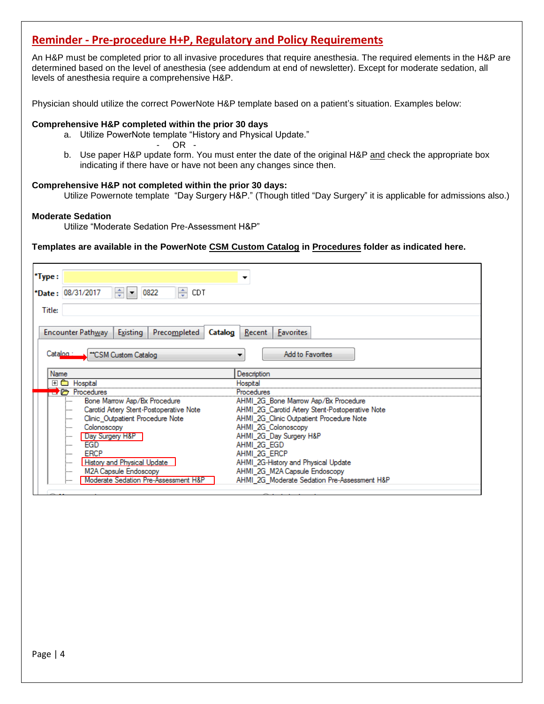# **Reminder - Pre-procedure H+P, Regulatory and Policy Requirements**

An H&P must be completed prior to all invasive procedures that require anesthesia. The required elements in the H&P are determined based on the level of anesthesia (see addendum at end of newsletter). Except for moderate sedation, all levels of anesthesia require a comprehensive H&P.

Physician should utilize the correct PowerNote H&P template based on a patient's situation. Examples below:

#### **Comprehensive H&P completed within the prior 30 days**

a. Utilize PowerNote template "History and Physical Update."

- OR -

b. Use paper H&P update form. You must enter the date of the original H&P and check the appropriate box indicating if there have or have not been any changes since then.

#### **Comprehensive H&P not completed within the prior 30 days:**

Utilize Powernote template "Day Surgery H&P." (Though titled "Day Surgery" it is applicable for admissions also.)

#### **Moderate Sedation**

Utilize "Moderate Sedation Pre-Assessment H&P"

### **Templates are available in the PowerNote CSM Custom Catalog in Procedures folder as indicated here.**

| *Type:                                                             |                                                 |  |  |  |
|--------------------------------------------------------------------|-------------------------------------------------|--|--|--|
| ÷<br>÷<br>*Date: 08/31/2017<br>0822<br>CDT<br>$\blacktriangledown$ |                                                 |  |  |  |
| Title:                                                             |                                                 |  |  |  |
|                                                                    |                                                 |  |  |  |
| <b>Encounter Pathway</b><br>Existing<br>Precompleted<br>Catalog    | $Recent$<br>Favorites                           |  |  |  |
|                                                                    |                                                 |  |  |  |
| Catalog :<br>"CSM Custom Catalog                                   | <b>Add to Favorites</b>                         |  |  |  |
|                                                                    |                                                 |  |  |  |
| Name                                                               | Description                                     |  |  |  |
| Hospital<br>$+$<br>8000                                            | Hospital                                        |  |  |  |
| $\Box$ $\Box$ Procedures                                           | Procedures                                      |  |  |  |
| Bone Marrow Asp/Bx Procedure<br>:                                  | AHMI_2G_Bone Marrow Asp/Bx Procedure            |  |  |  |
| Carotid Artery Stent-Postoperative Note<br>:                       | AHMI 2G Carotid Artery Stent-Postoperative Note |  |  |  |
| Clinic_Outpatient Procedure Note<br>:                              | AHMI_2G_Clinic Outpatient Procedure Note        |  |  |  |
| Colonoscopy<br>:                                                   | AHMI 2G Colonoscopy                             |  |  |  |
| Day Surgery H&P<br>:                                               | AHMI_2G_Day Surgery H&P                         |  |  |  |
| EGD<br>:                                                           | AHMI 2G EGD                                     |  |  |  |
| <b>ERCP</b><br>:                                                   | AHMI 2G ERCP                                    |  |  |  |
| <b>History and Physical Update</b><br>:                            | AHMI 2G-History and Physical Update             |  |  |  |
| M2A Capsule Endoscopy<br>:                                         | AHMI 2G M2A Capsule Endoscopy                   |  |  |  |
| Moderate Sedation Pre-Assessment H&P<br>:                          | AHMI 2G Moderate Sedation Pre-Assessment H&P    |  |  |  |
|                                                                    |                                                 |  |  |  |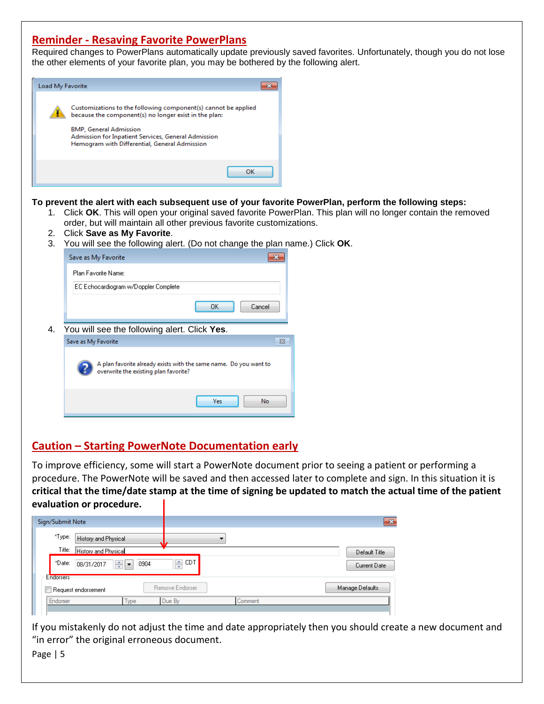# **Reminder - Resaving Favorite PowerPlans**

Required changes to PowerPlans automatically update previously saved favorites. Unfortunately, though you do not lose the other elements of your favorite plan, you may be bothered by the following alert.



### **To prevent the alert with each subsequent use of your favorite PowerPlan, perform the following steps:**

- 1. Click **OK**. This will open your original saved favorite PowerPlan. This plan will no longer contain the removed order, but will maintain all other previous favorite customizations.
- 2. Click **Save as My Favorite**.
- 3. You will see the following alert. (Do not change the plan name.) Click **OK**.

|    | Save as My Favorite                                                                                        |
|----|------------------------------------------------------------------------------------------------------------|
|    | Plan Favorite Name:                                                                                        |
|    | EC Echocardiogram w/Doppler Complete                                                                       |
|    | OK<br>Cancel                                                                                               |
| 4. | You will see the following alert. Click Yes.                                                               |
|    | Save as My Favorite<br>$\Sigma$ 3                                                                          |
|    | A plan favorite already exists with the same name. Do you want to<br>overwrite the existing plan favorite? |
|    | Yes<br>No                                                                                                  |

# **Caution – Starting PowerNote Documentation early**

To improve efficiency, some will start a PowerNote document prior to seeing a patient or performing a procedure. The PowerNote will be saved and then accessed later to complete and sign. In this situation it is **critical that the time/date stamp at the time of signing be updated to match the actual time of the patient evaluation or procedure.**

| Sign/Submit Note            |                                              |                                       |                 |         | $\mathbf{x}$    |
|-----------------------------|----------------------------------------------|---------------------------------------|-----------------|---------|-----------------|
| *Type:<br>Title:            | History and Physical<br>History and Physical |                                       |                 |         | Default Title   |
| *Date:                      | 08/31/2017                                   | 취<br>0904<br>$\overline{\phantom{0}}$ | ᆃ CDT           |         | Current Date    |
| Endorsers <sup>-</sup><br>г | Request endorsement                          |                                       | Remove Endorser |         | Manage Defaults |
| Endorser                    |                                              | Type                                  | Due By          | Comment |                 |

If you mistakenly do not adjust the time and date appropriately then you should create a new document and "in error" the original erroneous document.

Page | 5